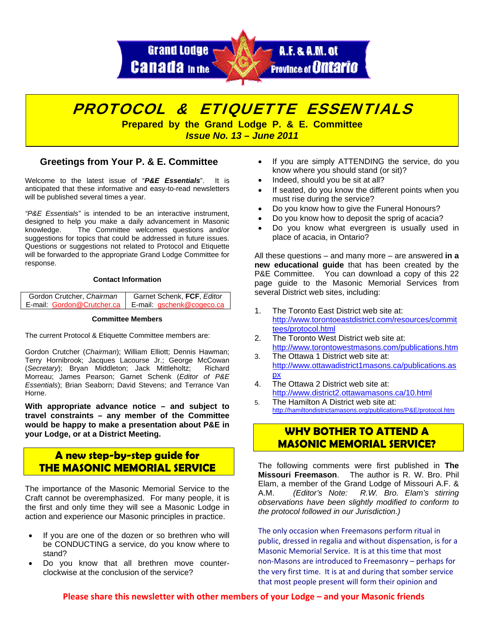



### **Greetings from Your P. & E. Committee**

Welcome to the latest issue of "*P&E Essentials*". It is anticipated that these informative and easy-to-read newsletters will be published several times a year.

*"P&E Essentials"* is intended to be an interactive instrument, designed to help you make a daily advancement in Masonic knowledge. The Committee welcomes questions and/or suggestions for topics that could be addressed in future issues. Questions or suggestions not related to Protocol and Etiquette will be forwarded to the appropriate Grand Lodge Committee for response.

### **Contact Information**

| Gordon Crutcher, Chairman  | Garnet Schenk, FCF, Editor |
|----------------------------|----------------------------|
| E-mail: Gordon@Crutcher.ca | E-mail: gschenk@cogeco.ca  |

#### **Committee Members**

The current Protocol & Etiquette Committee members are:

Gordon Crutcher (*Chairman*); William Elliott; Dennis Hawman; Terry Hornibrook; Jacques Lacourse Jr.; George McCowan (*Secretary*); Bryan Middleton; Jack Mittleholtz; Richard Morreau; James Pearson; Garnet Schenk (*Editor of P&E Essentials*); Brian Seaborn; David Stevens; and Terrance Van Horne.

**With appropriate advance notice – and subject to travel constraints – any member of the Committee would be happy to make a presentation about P&E in your Lodge, or at a District Meeting.** 

## **A new step-by-step guide for THE MASONIC MEMORIAL SERVICE**

The importance of the Masonic Memorial Service to the Craft cannot be overemphasized. For many people, it is the first and only time they will see a Masonic Lodge in action and experience our Masonic principles in practice.

- If you are one of the dozen or so brethren who will be CONDUCTING a service, do you know where to stand?
- Do you know that all brethren move counterclockwise at the conclusion of the service?
- If you are simply ATTENDING the service, do you know where you should stand (or sit)?
- Indeed, should you be sit at all?
- If seated, do you know the different points when you must rise during the service?
- Do you know how to give the Funeral Honours?
- Do you know how to deposit the sprig of acacia?
- Do you know what evergreen is usually used in place of acacia, in Ontario?

All these questions – and many more – are answered **in a new educational guide** that has been created by the P&E Committee. You can download a copy of this 22 page guide to the Masonic Memorial Services from several District web sites, including:

- 1. The Toronto East District web site at: [http://www.torontoeastdistrict.com/resources/commit](http://www.torontoeastdistrict.com/resources/committees/protocol.html) [tees/protocol.html](http://www.torontoeastdistrict.com/resources/committees/protocol.html)
- 2. The Toronto West District web site at: <http://www.torontowestmasons.com/publications.htm>
- 3. The Ottawa 1 District web site at: [http://www.ottawadistrict1masons.ca/publications.as](http://www.ottawadistrict1masons.ca/publications.aspx) [px](http://www.ottawadistrict1masons.ca/publications.aspx)
- 4. The Ottawa 2 District web site at: <http://www.district2.ottawamasons.ca/10.html>
- 5. The Hamilton A District web site at: <http://hamiltondistrictamasons.org/publications/P&E/protocol.htm>

# **WHY BOTHER TO ATTEND A MASONIC MEMORIAL SERVICE?**

The following comments were first published in **The Missouri Freemason**. The author is R. W. Bro. Phil Elam, a member of the Grand Lodge of Missouri A.F. & A.M. *(Editor's Note: R.W. Bro. Elam's stirring observations have been slightly modified to conform to the protocol followed in our Jurisdiction.)* 

The only occasion when Freemasons perform ritual in public, dressed in regalia and without dispensation, is for a Masonic Memorial Service. It is at this time that most non‐Masons are introduced to Freemasonry – perhaps for the very first time. It is at and during that somber service that most people present will form their opinion and

**Please share this newsletter with other members of your Lodge – and your Masonic friends**